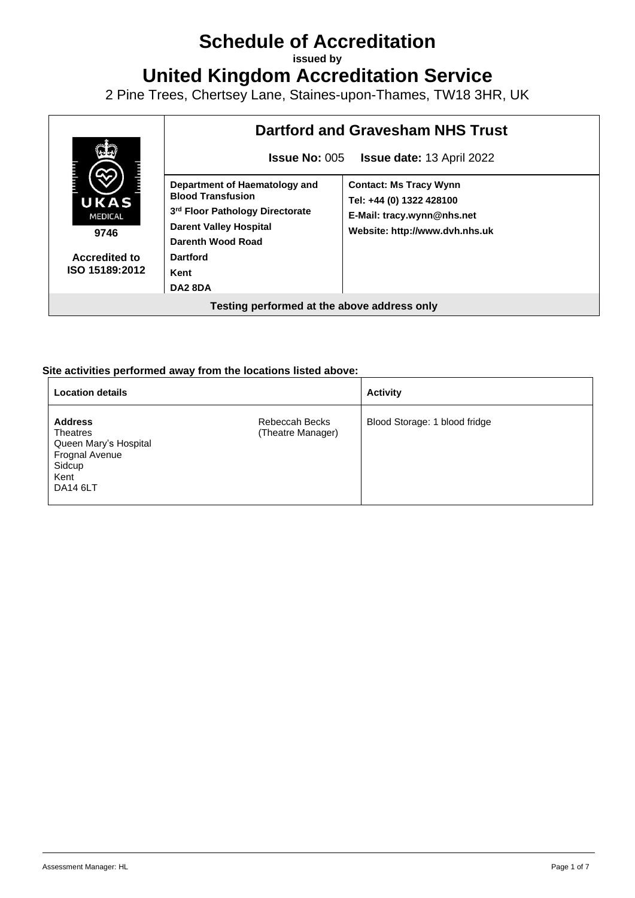# **Schedule of Accreditation**

**issued by**

**United Kingdom Accreditation Service**

2 Pine Trees, Chertsey Lane, Staines-upon-Thames, TW18 3HR, UK



#### **Site activities performed away from the locations listed above:**

| <b>Location details</b>                                                                             |                                     | <b>Activity</b>               |
|-----------------------------------------------------------------------------------------------------|-------------------------------------|-------------------------------|
| <b>Address</b><br>Theatres<br>Queen Mary's Hospital<br>Frognal Avenue<br>Sidcup<br>Kent<br>DA14 6LT | Rebeccah Becks<br>(Theatre Manager) | Blood Storage: 1 blood fridge |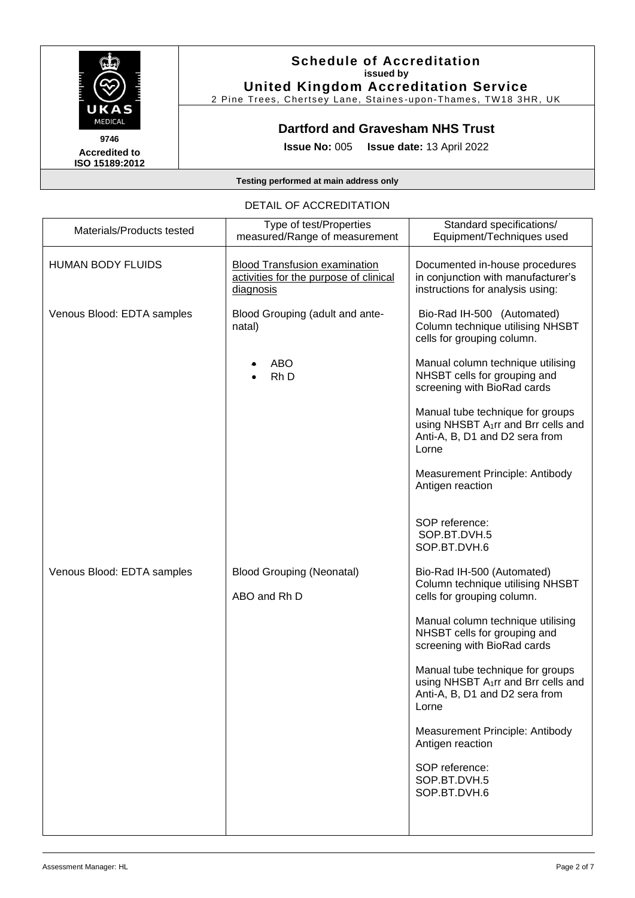

#### **Schedule of Accreditation issued by United Kingdom Accreditation Service**

2 Pine Trees, Chertsey Lane, Staines -upon -Thames, TW18 3HR, UK

## **Dartford and Gravesham NHS Trust**

**Issue No:** 005 **Issue date:** 13 April 2022

#### **Testing performed at main address only**

#### DETAIL OF ACCREDITATION

| Materials/Products tested  | Type of test/Properties<br>measured/Range of measurement                                    | Standard specifications/<br>Equipment/Techniques used                                                                          |
|----------------------------|---------------------------------------------------------------------------------------------|--------------------------------------------------------------------------------------------------------------------------------|
| <b>HUMAN BODY FLUIDS</b>   | <b>Blood Transfusion examination</b><br>activities for the purpose of clinical<br>diagnosis | Documented in-house procedures<br>in conjunction with manufacturer's<br>instructions for analysis using:                       |
| Venous Blood: EDTA samples | Blood Grouping (adult and ante-<br>natal)                                                   | Bio-Rad IH-500 (Automated)<br>Column technique utilising NHSBT<br>cells for grouping column.                                   |
|                            | <b>ABO</b><br>Rh D                                                                          | Manual column technique utilising<br>NHSBT cells for grouping and<br>screening with BioRad cards                               |
|                            |                                                                                             | Manual tube technique for groups<br>using NHSBT A <sub>1</sub> rr and Brr cells and<br>Anti-A, B, D1 and D2 sera from<br>Lorne |
|                            |                                                                                             | Measurement Principle: Antibody<br>Antigen reaction                                                                            |
|                            |                                                                                             | SOP reference:<br>SOP.BT.DVH.5<br>SOP.BT.DVH.6                                                                                 |
| Venous Blood: EDTA samples | <b>Blood Grouping (Neonatal)</b><br>ABO and Rh D                                            | Bio-Rad IH-500 (Automated)<br>Column technique utilising NHSBT<br>cells for grouping column.                                   |
|                            |                                                                                             | Manual column technique utilising<br>NHSBT cells for grouping and<br>screening with BioRad cards                               |
|                            |                                                                                             | Manual tube technique for groups<br>using NHSBT A <sub>1</sub> rr and Brr cells and<br>Anti-A, B, D1 and D2 sera from<br>Lorne |
|                            |                                                                                             | Measurement Principle: Antibody<br>Antigen reaction                                                                            |
|                            |                                                                                             | SOP reference:<br>SOP.BT.DVH.5<br>SOP.BT.DVH.6                                                                                 |
|                            |                                                                                             |                                                                                                                                |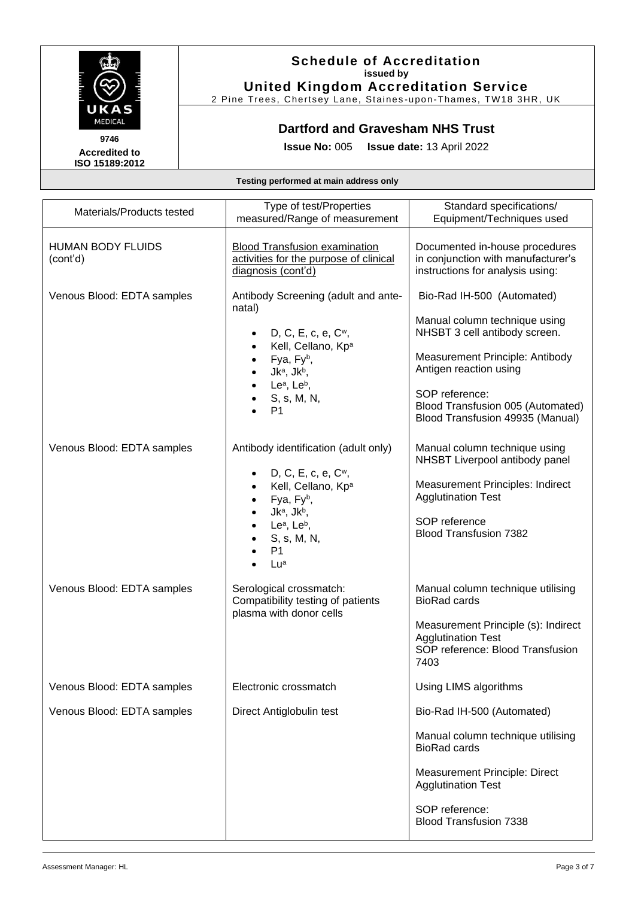![](_page_2_Picture_0.jpeg)

## **Schedule of Accreditation issued by United Kingdom Accreditation Service**

2 Pine Trees, Chertsey Lane, Staines -upon -Thames, TW18 3HR, UK

## **Dartford and Gravesham NHS Trust**

**Issue No:** 005 **Issue date:** 13 April 2022

| Materials/Products tested            | Type of test/Properties<br>measured/Range of measurement                                                                                                                                                                         | Standard specifications/<br>Equipment/Techniques used                                                                                                                                                                                                |
|--------------------------------------|----------------------------------------------------------------------------------------------------------------------------------------------------------------------------------------------------------------------------------|------------------------------------------------------------------------------------------------------------------------------------------------------------------------------------------------------------------------------------------------------|
| <b>HUMAN BODY FLUIDS</b><br>(cont'd) | <b>Blood Transfusion examination</b><br>activities for the purpose of clinical<br>diagnosis (cont'd)                                                                                                                             | Documented in-house procedures<br>in conjunction with manufacturer's<br>instructions for analysis using:                                                                                                                                             |
| Venous Blood: EDTA samples           | Antibody Screening (adult and ante-<br>natal)<br>D, C, E, c, e, C <sup>w</sup> ,<br>Kell, Cellano, Kpa<br>Fya, Fyb,<br>$Jk^a$ , $Jk^b$ ,<br>Le <sup>a</sup> , Le <sup>b</sup> ,<br>S, s, M, N,<br>P <sub>1</sub>                 | Bio-Rad IH-500 (Automated)<br>Manual column technique using<br>NHSBT 3 cell antibody screen.<br>Measurement Principle: Antibody<br>Antigen reaction using<br>SOP reference:<br>Blood Transfusion 005 (Automated)<br>Blood Transfusion 49935 (Manual) |
| Venous Blood: EDTA samples           | Antibody identification (adult only)<br>D, C, E, c, e, C <sup>w</sup> ,<br>Kell, Cellano, Kpa<br>Fya, Fyb,<br>Jk <sup>a</sup> , Jk <sup>b</sup> ,<br>Le <sup>a</sup> , Le <sup>b</sup> ,<br>S, s, M, N,<br>P <sub>1</sub><br>Lua | Manual column technique using<br>NHSBT Liverpool antibody panel<br>Measurement Principles: Indirect<br><b>Agglutination Test</b><br>SOP reference<br><b>Blood Transfusion 7382</b>                                                                   |
| Venous Blood: EDTA samples           | Serological crossmatch:<br>Compatibility testing of patients<br>plasma with donor cells                                                                                                                                          | Manual column technique utilising<br><b>BioRad cards</b><br>Measurement Principle (s): Indirect<br><b>Agglutination Test</b><br>SOP reference: Blood Transfusion<br>7403                                                                             |
| Venous Blood: EDTA samples           | Electronic crossmatch                                                                                                                                                                                                            | Using LIMS algorithms                                                                                                                                                                                                                                |
| Venous Blood: EDTA samples           | Direct Antiglobulin test                                                                                                                                                                                                         | Bio-Rad IH-500 (Automated)<br>Manual column technique utilising<br><b>BioRad cards</b><br><b>Measurement Principle: Direct</b><br><b>Agglutination Test</b><br>SOP reference:<br><b>Blood Transfusion 7338</b>                                       |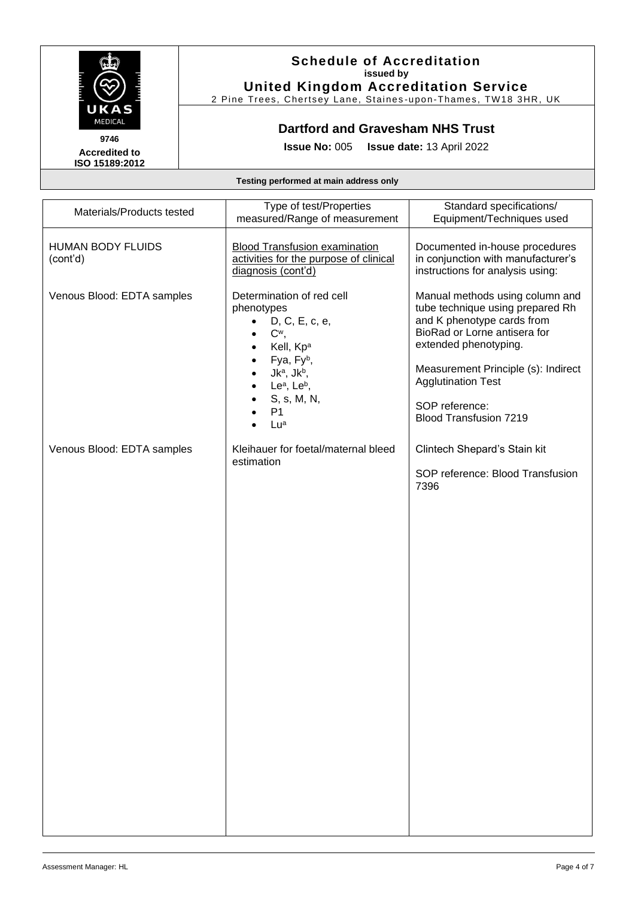![](_page_3_Picture_0.jpeg)

#### **Schedule of Accreditation issued by United Kingdom Accreditation Service**

2 Pine Trees, Chertsey Lane, Staines -upon -Thames, TW18 3HR, UK

## **Dartford and Gravesham NHS Trust**

**Issue No:** 005 **Issue date:** 13 April 2022

| Materials/Products tested            | Type of test/Properties<br>measured/Range of measurement                                                                                                                                                                                  | Standard specifications/<br>Equipment/Techniques used                                                                                                                                                                                                                             |
|--------------------------------------|-------------------------------------------------------------------------------------------------------------------------------------------------------------------------------------------------------------------------------------------|-----------------------------------------------------------------------------------------------------------------------------------------------------------------------------------------------------------------------------------------------------------------------------------|
| <b>HUMAN BODY FLUIDS</b><br>(cont'd) | <b>Blood Transfusion examination</b><br>activities for the purpose of clinical<br>diagnosis (cont'd)                                                                                                                                      | Documented in-house procedures<br>in conjunction with manufacturer's<br>instructions for analysis using:                                                                                                                                                                          |
| Venous Blood: EDTA samples           | Determination of red cell<br>phenotypes<br>D, C, E, c, e,<br>C <sup>w</sup> ,<br>Kell, Kp <sup>a</sup><br>Fya, Fyb,<br>Jk <sup>a</sup> , Jk <sup>b</sup> ,<br>Le <sup>a</sup> , Le <sup>b</sup> ,<br>S, s, M, N,<br>P <sub>1</sub><br>Lua | Manual methods using column and<br>tube technique using prepared Rh<br>and K phenotype cards from<br>BioRad or Lorne antisera for<br>extended phenotyping.<br>Measurement Principle (s): Indirect<br><b>Agglutination Test</b><br>SOP reference:<br><b>Blood Transfusion 7219</b> |
| Venous Blood: EDTA samples           | Kleihauer for foetal/maternal bleed<br>estimation                                                                                                                                                                                         | Clintech Shepard's Stain kit<br>SOP reference: Blood Transfusion<br>7396                                                                                                                                                                                                          |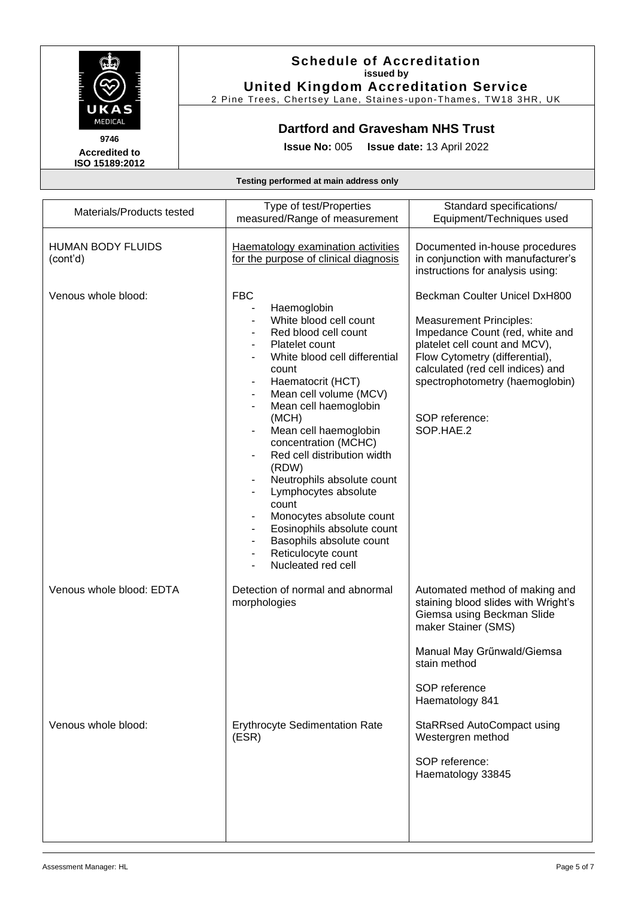![](_page_4_Picture_0.jpeg)

## **Schedule of Accreditation issued by United Kingdom Accreditation Service**

2 Pine Trees, Chertsey Lane, Staines -upon -Thames, TW18 3HR, UK

# **Dartford and Gravesham NHS Trust**

**Issue No:** 005 **Issue date:** 13 April 2022

| Materials/Products tested            | Type of test/Properties<br>measured/Range of measurement                                                                                                                                                                                                                                                                                                                                                                                                                                                                                                                                                                                                             | Standard specifications/<br>Equipment/Techniques used                                                                                                                                                                                                                        |
|--------------------------------------|----------------------------------------------------------------------------------------------------------------------------------------------------------------------------------------------------------------------------------------------------------------------------------------------------------------------------------------------------------------------------------------------------------------------------------------------------------------------------------------------------------------------------------------------------------------------------------------------------------------------------------------------------------------------|------------------------------------------------------------------------------------------------------------------------------------------------------------------------------------------------------------------------------------------------------------------------------|
| <b>HUMAN BODY FLUIDS</b><br>(cont'd) | Haematology examination activities<br>for the purpose of clinical diagnosis                                                                                                                                                                                                                                                                                                                                                                                                                                                                                                                                                                                          | Documented in-house procedures<br>in conjunction with manufacturer's<br>instructions for analysis using:                                                                                                                                                                     |
| Venous whole blood:                  | <b>FBC</b><br>Haemoglobin<br>White blood cell count<br>Red blood cell count<br>Platelet count<br>White blood cell differential<br>count<br>Haematocrit (HCT)<br>Mean cell volume (MCV)<br>Mean cell haemoglobin<br>$\blacksquare$<br>(MCH)<br>Mean cell haemoglobin<br>concentration (MCHC)<br>Red cell distribution width<br>$\blacksquare$<br>(RDW)<br>Neutrophils absolute count<br>$\qquad \qquad \blacksquare$<br>Lymphocytes absolute<br>count<br>Monocytes absolute count<br>Eosinophils absolute count<br>$\overline{\phantom{a}}$<br>Basophils absolute count<br>$\blacksquare$<br>Reticulocyte count<br>$\qquad \qquad \blacksquare$<br>Nucleated red cell | Beckman Coulter Unicel DxH800<br><b>Measurement Principles:</b><br>Impedance Count (red, white and<br>platelet cell count and MCV),<br>Flow Cytometry (differential),<br>calculated (red cell indices) and<br>spectrophotometry (haemoglobin)<br>SOP reference:<br>SOP.HAE.2 |
| Venous whole blood: EDTA             | Detection of normal and abnormal<br>morphologies                                                                                                                                                                                                                                                                                                                                                                                                                                                                                                                                                                                                                     | Automated method of making and<br>staining blood slides with Wright's<br>Giemsa using Beckman Slide<br>maker Stainer (SMS)<br>Manual May Grűnwald/Giemsa<br>stain method<br>SOP reference<br>Haematology 841                                                                 |
| Venous whole blood:                  | <b>Erythrocyte Sedimentation Rate</b><br>(ESR)                                                                                                                                                                                                                                                                                                                                                                                                                                                                                                                                                                                                                       | <b>StaRRsed AutoCompact using</b><br>Westergren method<br>SOP reference:<br>Haematology 33845                                                                                                                                                                                |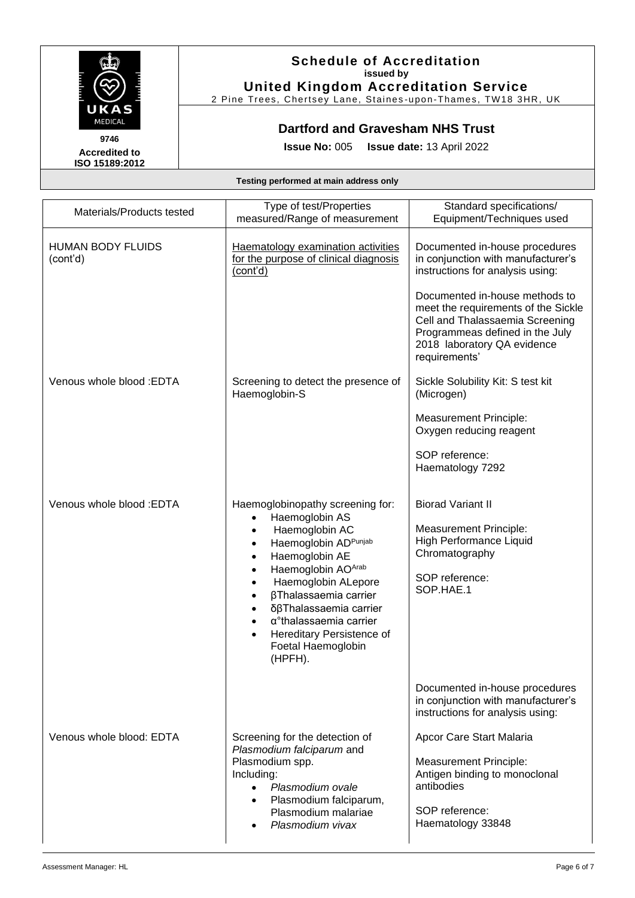![](_page_5_Picture_0.jpeg)

## **Schedule of Accreditation issued by United Kingdom Accreditation Service**

2 Pine Trees, Chertsey Lane, Staines -upon -Thames, TW18 3HR, UK

# **Dartford and Gravesham NHS Trust**

**Issue No:** 005 **Issue date:** 13 April 2022

| Materials/Products tested            | Type of test/Properties<br>measured/Range of measurement                                                                                                                                                                                                                                                                                                                                                                                                     | Standard specifications/<br>Equipment/Techniques used                                                                                                                                       |
|--------------------------------------|--------------------------------------------------------------------------------------------------------------------------------------------------------------------------------------------------------------------------------------------------------------------------------------------------------------------------------------------------------------------------------------------------------------------------------------------------------------|---------------------------------------------------------------------------------------------------------------------------------------------------------------------------------------------|
| <b>HUMAN BODY FLUIDS</b><br>(cont'd) | <b>Haematology examination activities</b><br>for the purpose of clinical diagnosis<br>(cont'd)                                                                                                                                                                                                                                                                                                                                                               | Documented in-house procedures<br>in conjunction with manufacturer's<br>instructions for analysis using:                                                                                    |
|                                      |                                                                                                                                                                                                                                                                                                                                                                                                                                                              | Documented in-house methods to<br>meet the requirements of the Sickle<br>Cell and Thalassaemia Screening<br>Programmeas defined in the July<br>2018 laboratory QA evidence<br>requirements' |
| Venous whole blood: EDTA             | Screening to detect the presence of<br>Haemoglobin-S                                                                                                                                                                                                                                                                                                                                                                                                         | Sickle Solubility Kit: S test kit<br>(Microgen)                                                                                                                                             |
|                                      |                                                                                                                                                                                                                                                                                                                                                                                                                                                              | <b>Measurement Principle:</b><br>Oxygen reducing reagent                                                                                                                                    |
|                                      |                                                                                                                                                                                                                                                                                                                                                                                                                                                              | SOP reference:<br>Haematology 7292                                                                                                                                                          |
| Venous whole blood: EDTA             | Haemoglobinopathy screening for:<br>Haemoglobin AS<br>$\bullet$<br>Haemoglobin AC<br>$\bullet$<br>Haemoglobin ADPunjab<br>$\bullet$<br>Haemoglobin AE<br>$\bullet$<br>Haemoglobin AOArab<br>$\bullet$<br>Haemoglobin ALepore<br>$\bullet$<br>βThalassaemia carrier<br>$\bullet$<br>δβThalassaemia carrier<br>$\bullet$<br>$\alpha$ <sup>°</sup> thalassaemia carrier<br>$\bullet$<br>Hereditary Persistence of<br>$\bullet$<br>Foetal Haemoglobin<br>(HPFH). | <b>Biorad Variant II</b><br>Measurement Principle:<br>High Performance Liquid<br>Chromatography<br>SOP reference:<br>SOP.HAE.1                                                              |
|                                      |                                                                                                                                                                                                                                                                                                                                                                                                                                                              | Documented in-house procedures<br>in conjunction with manufacturer's<br>instructions for analysis using:                                                                                    |
| Venous whole blood: EDTA             | Screening for the detection of<br>Plasmodium falciparum and<br>Plasmodium spp.<br>Including:<br>Plasmodium ovale<br>Plasmodium falciparum,<br>Plasmodium malariae<br>Plasmodium vivax                                                                                                                                                                                                                                                                        | Apcor Care Start Malaria<br><b>Measurement Principle:</b><br>Antigen binding to monoclonal<br>antibodies<br>SOP reference:<br>Haematology 33848                                             |